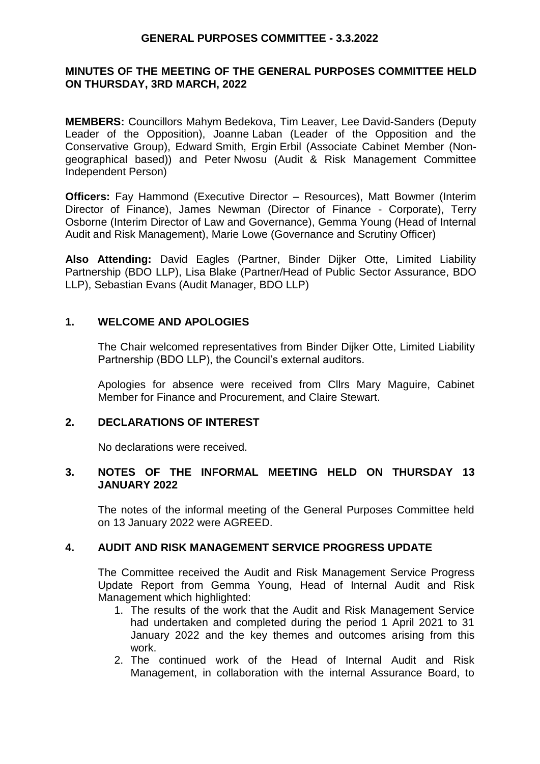#### **MINUTES OF THE MEETING OF THE GENERAL PURPOSES COMMITTEE HELD ON THURSDAY, 3RD MARCH, 2022**

**MEMBERS:** Councillors Mahym Bedekova, Tim Leaver, Lee David-Sanders (Deputy Leader of the Opposition), Joanne Laban (Leader of the Opposition and the Conservative Group), Edward Smith, Ergin Erbil (Associate Cabinet Member (Nongeographical based)) and Peter Nwosu (Audit & Risk Management Committee Independent Person)

**Officers:** Fay Hammond (Executive Director – Resources), Matt Bowmer (Interim Director of Finance), James Newman (Director of Finance - Corporate), Terry Osborne (Interim Director of Law and Governance), Gemma Young (Head of Internal Audit and Risk Management), Marie Lowe (Governance and Scrutiny Officer)

**Also Attending:** David Eagles (Partner, Binder Dijker Otte, Limited Liability Partnership (BDO LLP), Lisa Blake (Partner/Head of Public Sector Assurance, BDO LLP), Sebastian Evans (Audit Manager, BDO LLP)

#### **1. WELCOME AND APOLOGIES**

The Chair welcomed representatives from Binder Dijker Otte, Limited Liability Partnership (BDO LLP), the Council's external auditors.

Apologies for absence were received from Cllrs Mary Maguire, Cabinet Member for Finance and Procurement, and Claire Stewart.

#### **2. DECLARATIONS OF INTEREST**

No declarations were received.

#### **3. NOTES OF THE INFORMAL MEETING HELD ON THURSDAY 13 JANUARY 2022**

The notes of the informal meeting of the General Purposes Committee held on 13 January 2022 were AGREED.

## **4. AUDIT AND RISK MANAGEMENT SERVICE PROGRESS UPDATE**

The Committee received the Audit and Risk Management Service Progress Update Report from Gemma Young, Head of Internal Audit and Risk Management which highlighted:

- 1. The results of the work that the Audit and Risk Management Service had undertaken and completed during the period 1 April 2021 to 31 January 2022 and the key themes and outcomes arising from this work.
- 2. The continued work of the Head of Internal Audit and Risk Management, in collaboration with the internal Assurance Board, to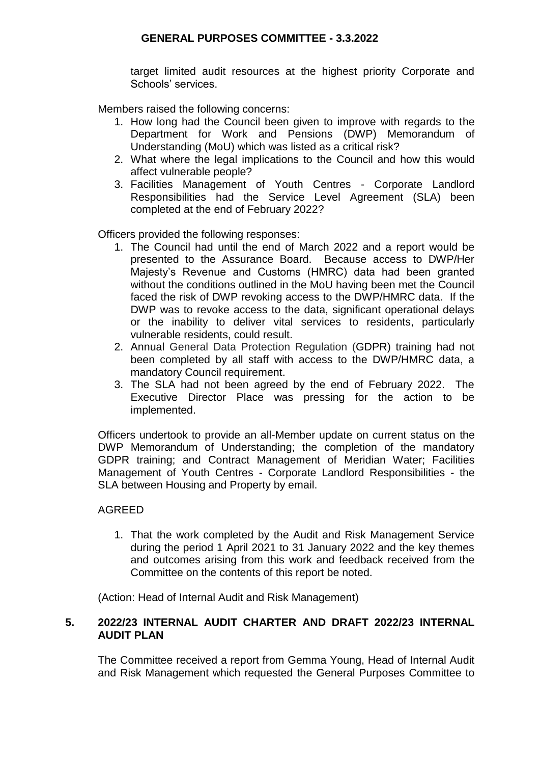target limited audit resources at the highest priority Corporate and Schools' services.

Members raised the following concerns:

- 1. How long had the Council been given to improve with regards to the Department for Work and Pensions (DWP) Memorandum of Understanding (MoU) which was listed as a critical risk?
- 2. What where the legal implications to the Council and how this would affect vulnerable people?
- 3. Facilities Management of Youth Centres Corporate Landlord Responsibilities had the Service Level Agreement (SLA) been completed at the end of February 2022?

Officers provided the following responses:

- 1. The Council had until the end of March 2022 and a report would be presented to the Assurance Board. Because access to DWP/Her Majesty's Revenue and Customs (HMRC) data had been granted without the conditions outlined in the MoU having been met the Council faced the risk of DWP revoking access to the DWP/HMRC data. If the DWP was to revoke access to the data, significant operational delays or the inability to deliver vital services to residents, particularly vulnerable residents, could result.
- 2. Annual General Data Protection Regulation (GDPR) training had not been completed by all staff with access to the DWP/HMRC data, a mandatory Council requirement.
- 3. The SLA had not been agreed by the end of February 2022. The Executive Director Place was pressing for the action to be implemented.

Officers undertook to provide an all-Member update on current status on the DWP Memorandum of Understanding; the completion of the mandatory GDPR training; and Contract Management of Meridian Water; Facilities Management of Youth Centres - Corporate Landlord Responsibilities - the SLA between Housing and Property by email.

## AGREED

1. That the work completed by the Audit and Risk Management Service during the period 1 April 2021 to 31 January 2022 and the key themes and outcomes arising from this work and feedback received from the Committee on the contents of this report be noted.

(Action: Head of Internal Audit and Risk Management)

## **5. 2022/23 INTERNAL AUDIT CHARTER AND DRAFT 2022/23 INTERNAL AUDIT PLAN**

The Committee received a report from Gemma Young, Head of Internal Audit and Risk Management which requested the General Purposes Committee to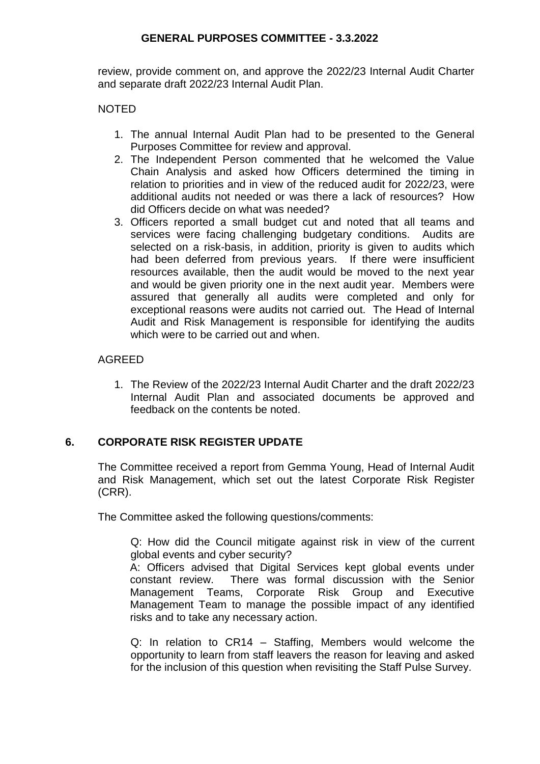review, provide comment on, and approve the 2022/23 Internal Audit Charter and separate draft 2022/23 Internal Audit Plan.

## NOTED

- 1. The annual Internal Audit Plan had to be presented to the General Purposes Committee for review and approval.
- 2. The Independent Person commented that he welcomed the Value Chain Analysis and asked how Officers determined the timing in relation to priorities and in view of the reduced audit for 2022/23, were additional audits not needed or was there a lack of resources? How did Officers decide on what was needed?
- 3. Officers reported a small budget cut and noted that all teams and services were facing challenging budgetary conditions. Audits are selected on a risk-basis, in addition, priority is given to audits which had been deferred from previous years. If there were insufficient resources available, then the audit would be moved to the next year and would be given priority one in the next audit year. Members were assured that generally all audits were completed and only for exceptional reasons were audits not carried out. The Head of Internal Audit and Risk Management is responsible for identifying the audits which were to be carried out and when.

# AGREED

1. The Review of the 2022/23 Internal Audit Charter and the draft 2022/23 Internal Audit Plan and associated documents be approved and feedback on the contents be noted.

# **6. CORPORATE RISK REGISTER UPDATE**

The Committee received a report from Gemma Young, Head of Internal Audit and Risk Management, which set out the latest Corporate Risk Register (CRR).

The Committee asked the following questions/comments:

Q: How did the Council mitigate against risk in view of the current global events and cyber security?

A: Officers advised that Digital Services kept global events under constant review. There was formal discussion with the Senior Management Teams, Corporate Risk Group and Executive Management Team to manage the possible impact of any identified risks and to take any necessary action.

Q: In relation to CR14 – Staffing, Members would welcome the opportunity to learn from staff leavers the reason for leaving and asked for the inclusion of this question when revisiting the Staff Pulse Survey.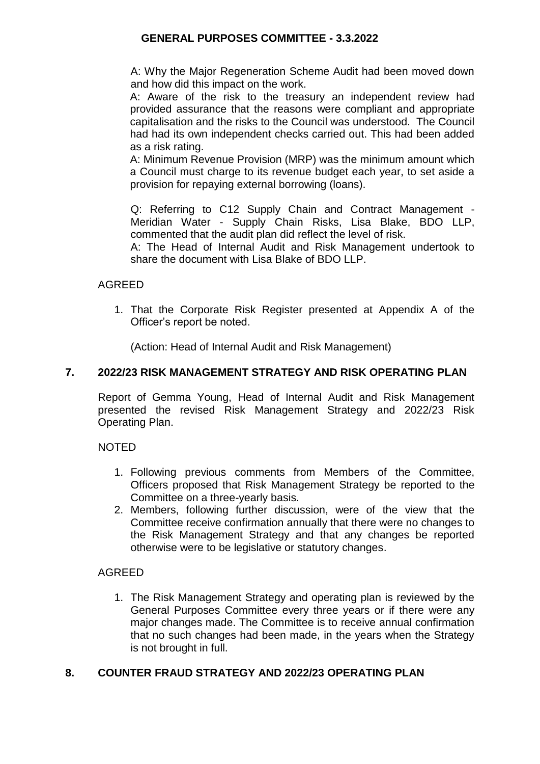A: Why the Major Regeneration Scheme Audit had been moved down and how did this impact on the work.

A: Aware of the risk to the treasury an independent review had provided assurance that the reasons were compliant and appropriate capitalisation and the risks to the Council was understood. The Council had had its own independent checks carried out. This had been added as a risk rating.

A: Minimum Revenue Provision (MRP) was the minimum amount which a Council must charge to its revenue budget each year, to set aside a provision for repaying external borrowing (loans).

Q: Referring to C12 Supply Chain and Contract Management - Meridian Water - Supply Chain Risks, Lisa Blake, BDO LLP, commented that the audit plan did reflect the level of risk.

A: The Head of Internal Audit and Risk Management undertook to share the document with Lisa Blake of BDO LLP.

# AGREED

1. That the Corporate Risk Register presented at Appendix A of the Officer's report be noted.

(Action: Head of Internal Audit and Risk Management)

## **7. 2022/23 RISK MANAGEMENT STRATEGY AND RISK OPERATING PLAN**

Report of Gemma Young, Head of Internal Audit and Risk Management presented the revised Risk Management Strategy and 2022/23 Risk Operating Plan.

## NOTED

- 1. Following previous comments from Members of the Committee, Officers proposed that Risk Management Strategy be reported to the Committee on a three-yearly basis.
- 2. Members, following further discussion, were of the view that the Committee receive confirmation annually that there were no changes to the Risk Management Strategy and that any changes be reported otherwise were to be legislative or statutory changes.

## AGREED

1. The Risk Management Strategy and operating plan is reviewed by the General Purposes Committee every three years or if there were any major changes made. The Committee is to receive annual confirmation that no such changes had been made, in the years when the Strategy is not brought in full.

# **8. COUNTER FRAUD STRATEGY AND 2022/23 OPERATING PLAN**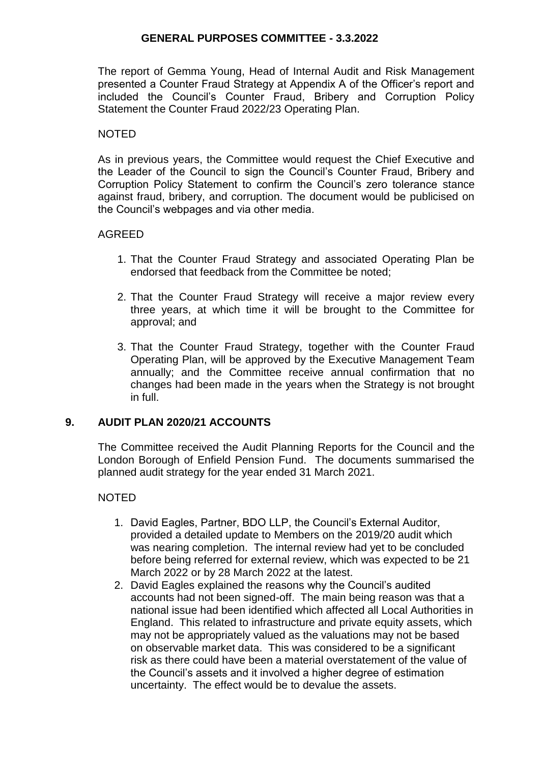The report of Gemma Young, Head of Internal Audit and Risk Management presented a Counter Fraud Strategy at Appendix A of the Officer's report and included the Council's Counter Fraud, Bribery and Corruption Policy Statement the Counter Fraud 2022/23 Operating Plan.

#### NOTED

As in previous years, the Committee would request the Chief Executive and the Leader of the Council to sign the Council's Counter Fraud, Bribery and Corruption Policy Statement to confirm the Council's zero tolerance stance against fraud, bribery, and corruption. The document would be publicised on the Council's webpages and via other media.

#### AGREED

- 1. That the Counter Fraud Strategy and associated Operating Plan be endorsed that feedback from the Committee be noted;
- 2. That the Counter Fraud Strategy will receive a major review every three years, at which time it will be brought to the Committee for approval; and
- 3. That the Counter Fraud Strategy, together with the Counter Fraud Operating Plan, will be approved by the Executive Management Team annually; and the Committee receive annual confirmation that no changes had been made in the years when the Strategy is not brought in full.

#### **9. AUDIT PLAN 2020/21 ACCOUNTS**

The Committee received the Audit Planning Reports for the Council and the London Borough of Enfield Pension Fund. The documents summarised the planned audit strategy for the year ended 31 March 2021.

#### NOTED

- 1. David Eagles, Partner, BDO LLP, the Council's External Auditor, provided a detailed update to Members on the 2019/20 audit which was nearing completion. The internal review had yet to be concluded before being referred for external review, which was expected to be 21 March 2022 or by 28 March 2022 at the latest.
- 2. David Eagles explained the reasons why the Council's audited accounts had not been signed-off. The main being reason was that a national issue had been identified which affected all Local Authorities in England. This related to infrastructure and private equity assets, which may not be appropriately valued as the valuations may not be based on observable market data. This was considered to be a significant risk as there could have been a material overstatement of the value of the Council's assets and it involved a higher degree of estimation uncertainty. The effect would be to devalue the assets.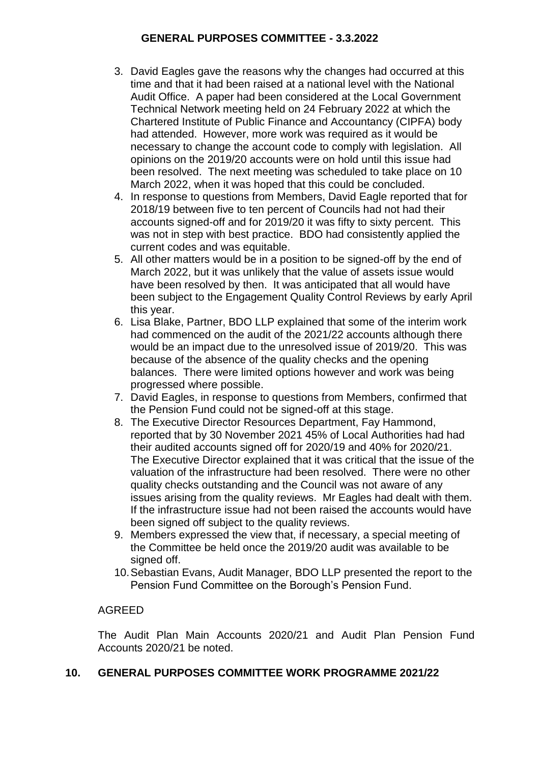- 3. David Eagles gave the reasons why the changes had occurred at this time and that it had been raised at a national level with the National Audit Office. A paper had been considered at the Local Government Technical Network meeting held on 24 February 2022 at which the Chartered Institute of Public Finance and Accountancy (CIPFA) body had attended. However, more work was required as it would be necessary to change the account code to comply with legislation. All opinions on the 2019/20 accounts were on hold until this issue had been resolved. The next meeting was scheduled to take place on 10 March 2022, when it was hoped that this could be concluded.
- 4. In response to questions from Members, David Eagle reported that for 2018/19 between five to ten percent of Councils had not had their accounts signed-off and for 2019/20 it was fifty to sixty percent. This was not in step with best practice. BDO had consistently applied the current codes and was equitable.
- 5. All other matters would be in a position to be signed-off by the end of March 2022, but it was unlikely that the value of assets issue would have been resolved by then. It was anticipated that all would have been subject to the Engagement Quality Control Reviews by early April this year.
- 6. Lisa Blake, Partner, BDO LLP explained that some of the interim work had commenced on the audit of the 2021/22 accounts although there would be an impact due to the unresolved issue of 2019/20. This was because of the absence of the quality checks and the opening balances. There were limited options however and work was being progressed where possible.
- 7. David Eagles, in response to questions from Members, confirmed that the Pension Fund could not be signed-off at this stage.
- 8. The Executive Director Resources Department, Fay Hammond, reported that by 30 November 2021 45% of Local Authorities had had their audited accounts signed off for 2020/19 and 40% for 2020/21. The Executive Director explained that it was critical that the issue of the valuation of the infrastructure had been resolved. There were no other quality checks outstanding and the Council was not aware of any issues arising from the quality reviews. Mr Eagles had dealt with them. If the infrastructure issue had not been raised the accounts would have been signed off subject to the quality reviews.
- 9. Members expressed the view that, if necessary, a special meeting of the Committee be held once the 2019/20 audit was available to be signed off.
- 10.Sebastian Evans, Audit Manager, BDO LLP presented the report to the Pension Fund Committee on the Borough's Pension Fund.

# AGREED

The Audit Plan Main Accounts 2020/21 and Audit Plan Pension Fund Accounts 2020/21 be noted.

## **10. GENERAL PURPOSES COMMITTEE WORK PROGRAMME 2021/22**